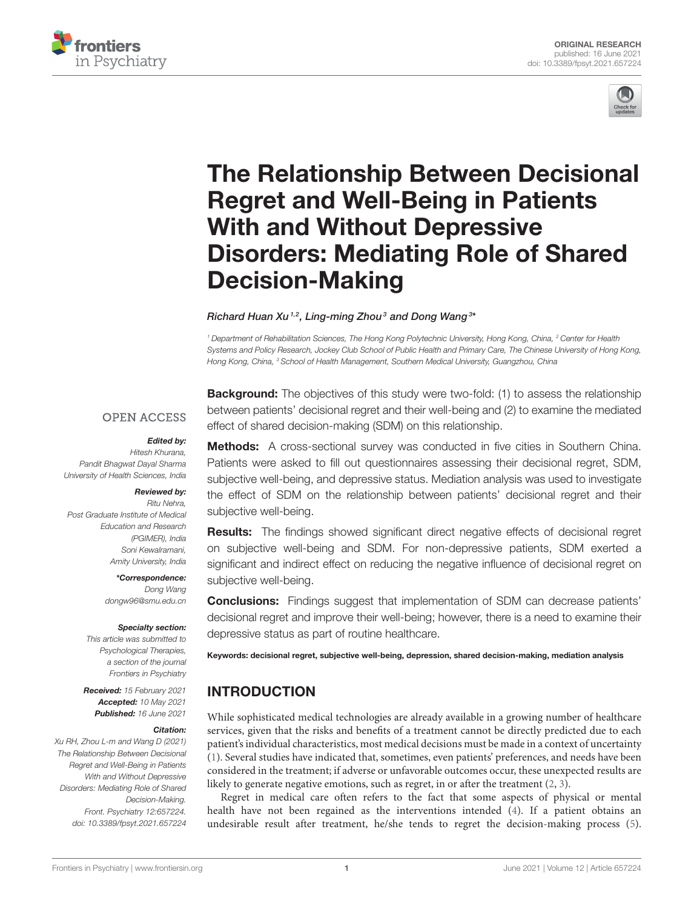



# The Relationship Between Decisional Regret and Well-Being in Patients With and Without Depressive [Disorders: Mediating Role of Shared](https://www.frontiersin.org/articles/10.3389/fpsyt.2021.657224/full) Decision-Making

#### Richard Huan Xu  $^{1,2}$ , Ling-ming Zhou $^3$  and Dong Wang $^{3\star}$

*<sup>1</sup> Department of Rehabilitation Sciences, The Hong Kong Polytechnic University, Hong Kong, China, <sup>2</sup> Center for Health Systems and Policy Research, Jockey Club School of Public Health and Primary Care, The Chinese University of Hong Kong, Hong Kong, China, <sup>3</sup> School of Health Management, Southern Medical University, Guangzhou, China*

#### **OPEN ACCESS**

#### Edited by:

*Hitesh Khurana, Pandit Bhagwat Dayal Sharma University of Health Sciences, India*

#### Reviewed by:

*Ritu Nehra, Post Graduate Institute of Medical Education and Research (PGIMER), India Soni Kewalramani, Amity University, India*

> \*Correspondence: *Dong Wang [dongw96@smu.edu.cn](mailto:dongw96@smu.edu.cn)*

#### Specialty section:

*This article was submitted to Psychological Therapies, a section of the journal Frontiers in Psychiatry*

Received: *15 February 2021* Accepted: *10 May 2021* Published: *16 June 2021*

#### Citation:

*Xu RH, Zhou L-m and Wang D (2021) The Relationship Between Decisional Regret and Well-Being in Patients With and Without Depressive Disorders: Mediating Role of Shared Decision-Making. Front. Psychiatry 12:657224. doi: [10.3389/fpsyt.2021.657224](https://doi.org/10.3389/fpsyt.2021.657224)* **Background:** The objectives of this study were two-fold: (1) to assess the relationship between patients' decisional regret and their well-being and (2) to examine the mediated effect of shared decision-making (SDM) on this relationship.

# **Methods:** A cross-sectional survey was conducted in five cities in Southern China. Patients were asked to fill out questionnaires assessing their decisional regret, SDM, subjective well-being, and depressive status. Mediation analysis was used to investigate the effect of SDM on the relationship between patients' decisional regret and their subjective well-being.

**Results:** The findings showed significant direct negative effects of decisional regret on subjective well-being and SDM. For non-depressive patients, SDM exerted a significant and indirect effect on reducing the negative influence of decisional regret on subjective well-being.

**Conclusions:** Findings suggest that implementation of SDM can decrease patients' decisional regret and improve their well-being; however, there is a need to examine their depressive status as part of routine healthcare.

Keywords: decisional regret, subjective well-being, depression, shared decision-making, mediation analysis

# INTRODUCTION

While sophisticated medical technologies are already available in a growing number of healthcare services, given that the risks and benefits of a treatment cannot be directly predicted due to each patient's individual characteristics, most medical decisions must be made in a context of uncertainty [\(1\)](#page-7-0). Several studies have indicated that, sometimes, even patients' preferences, and needs have been considered in the treatment; if adverse or unfavorable outcomes occur, these unexpected results are likely to generate negative emotions, such as regret, in or after the treatment [\(2,](#page-7-1) [3\)](#page-7-2).

Regret in medical care often refers to the fact that some aspects of physical or mental health have not been regained as the interventions intended [\(4\)](#page-7-3). If a patient obtains an undesirable result after treatment, he/she tends to regret the decision-making process [\(5\)](#page-7-4).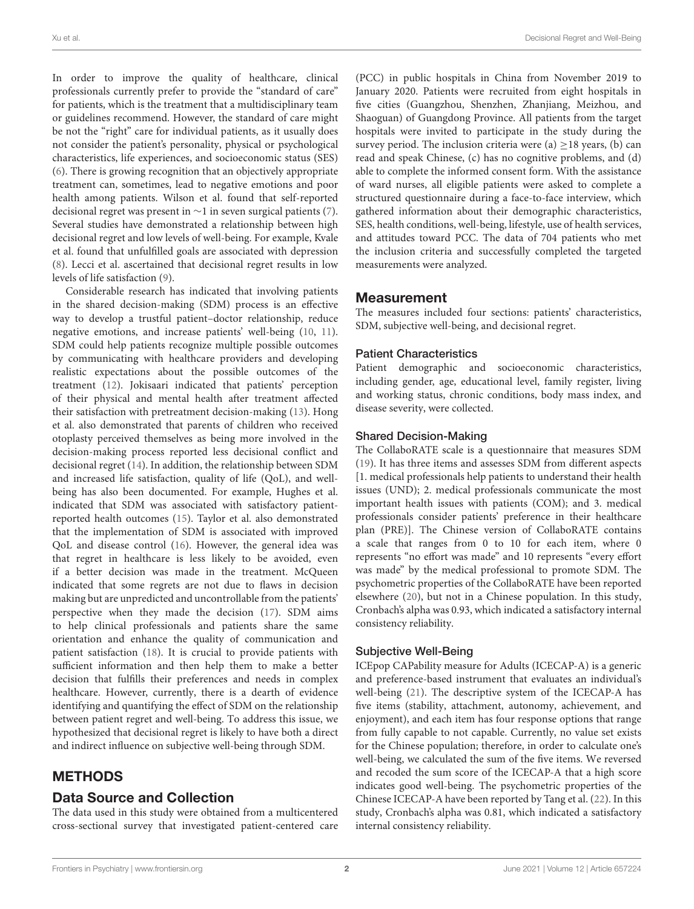In order to improve the quality of healthcare, clinical professionals currently prefer to provide the "standard of care" for patients, which is the treatment that a multidisciplinary team or guidelines recommend. However, the standard of care might be not the "right" care for individual patients, as it usually does not consider the patient's personality, physical or psychological characteristics, life experiences, and socioeconomic status (SES) [\(6\)](#page-7-5). There is growing recognition that an objectively appropriate treatment can, sometimes, lead to negative emotions and poor health among patients. Wilson et al. found that self-reported decisional regret was present in ∼1 in seven surgical patients [\(7\)](#page-7-6). Several studies have demonstrated a relationship between high decisional regret and low levels of well-being. For example, Kvale et al. found that unfulfilled goals are associated with depression [\(8\)](#page-7-7). Lecci et al. ascertained that decisional regret results in low levels of life satisfaction [\(9\)](#page-7-8).

Considerable research has indicated that involving patients in the shared decision-making (SDM) process is an effective way to develop a trustful patient–doctor relationship, reduce negative emotions, and increase patients' well-being [\(10,](#page-7-9) [11\)](#page-7-10). SDM could help patients recognize multiple possible outcomes by communicating with healthcare providers and developing realistic expectations about the possible outcomes of the treatment [\(12\)](#page-7-11). Jokisaari indicated that patients' perception of their physical and mental health after treatment affected their satisfaction with pretreatment decision-making [\(13\)](#page-7-12). Hong et al. also demonstrated that parents of children who received otoplasty perceived themselves as being more involved in the decision-making process reported less decisional conflict and decisional regret [\(14\)](#page-7-13). In addition, the relationship between SDM and increased life satisfaction, quality of life (QoL), and wellbeing has also been documented. For example, Hughes et al. indicated that SDM was associated with satisfactory patientreported health outcomes [\(15\)](#page-8-0). Taylor et al. also demonstrated that the implementation of SDM is associated with improved QoL and disease control [\(16\)](#page-8-1). However, the general idea was that regret in healthcare is less likely to be avoided, even if a better decision was made in the treatment. McQueen indicated that some regrets are not due to flaws in decision making but are unpredicted and uncontrollable from the patients' perspective when they made the decision [\(17\)](#page-8-2). SDM aims to help clinical professionals and patients share the same orientation and enhance the quality of communication and patient satisfaction [\(18\)](#page-8-3). It is crucial to provide patients with sufficient information and then help them to make a better decision that fulfills their preferences and needs in complex healthcare. However, currently, there is a dearth of evidence identifying and quantifying the effect of SDM on the relationship between patient regret and well-being. To address this issue, we hypothesized that decisional regret is likely to have both a direct and indirect influence on subjective well-being through SDM.

# METHODS

## Data Source and Collection

The data used in this study were obtained from a multicentered cross-sectional survey that investigated patient-centered care (PCC) in public hospitals in China from November 2019 to January 2020. Patients were recruited from eight hospitals in five cities (Guangzhou, Shenzhen, Zhanjiang, Meizhou, and Shaoguan) of Guangdong Province. All patients from the target hospitals were invited to participate in the study during the survey period. The inclusion criteria were  $(a) > 18$  years,  $(b)$  can read and speak Chinese, (c) has no cognitive problems, and (d) able to complete the informed consent form. With the assistance of ward nurses, all eligible patients were asked to complete a structured questionnaire during a face-to-face interview, which gathered information about their demographic characteristics, SES, health conditions, well-being, lifestyle, use of health services, and attitudes toward PCC. The data of 704 patients who met the inclusion criteria and successfully completed the targeted measurements were analyzed.

## Measurement

The measures included four sections: patients' characteristics, SDM, subjective well-being, and decisional regret.

#### Patient Characteristics

Patient demographic and socioeconomic characteristics, including gender, age, educational level, family register, living and working status, chronic conditions, body mass index, and disease severity, were collected.

#### Shared Decision-Making

The CollaboRATE scale is a questionnaire that measures SDM [\(19\)](#page-8-4). It has three items and assesses SDM from different aspects [1. medical professionals help patients to understand their health issues (UND); 2. medical professionals communicate the most important health issues with patients (COM); and 3. medical professionals consider patients' preference in their healthcare plan (PRE)]. The Chinese version of CollaboRATE contains a scale that ranges from 0 to 10 for each item, where 0 represents "no effort was made" and 10 represents "every effort was made" by the medical professional to promote SDM. The psychometric properties of the CollaboRATE have been reported elsewhere [\(20\)](#page-8-5), but not in a Chinese population. In this study, Cronbach's alpha was 0.93, which indicated a satisfactory internal consistency reliability.

#### Subjective Well-Being

ICEpop CAPability measure for Adults (ICECAP-A) is a generic and preference-based instrument that evaluates an individual's well-being [\(21\)](#page-8-6). The descriptive system of the ICECAP-A has five items (stability, attachment, autonomy, achievement, and enjoyment), and each item has four response options that range from fully capable to not capable. Currently, no value set exists for the Chinese population; therefore, in order to calculate one's well-being, we calculated the sum of the five items. We reversed and recoded the sum score of the ICECAP-A that a high score indicates good well-being. The psychometric properties of the Chinese ICECAP-A have been reported by Tang et al. [\(22\)](#page-8-7). In this study, Cronbach's alpha was 0.81, which indicated a satisfactory internal consistency reliability.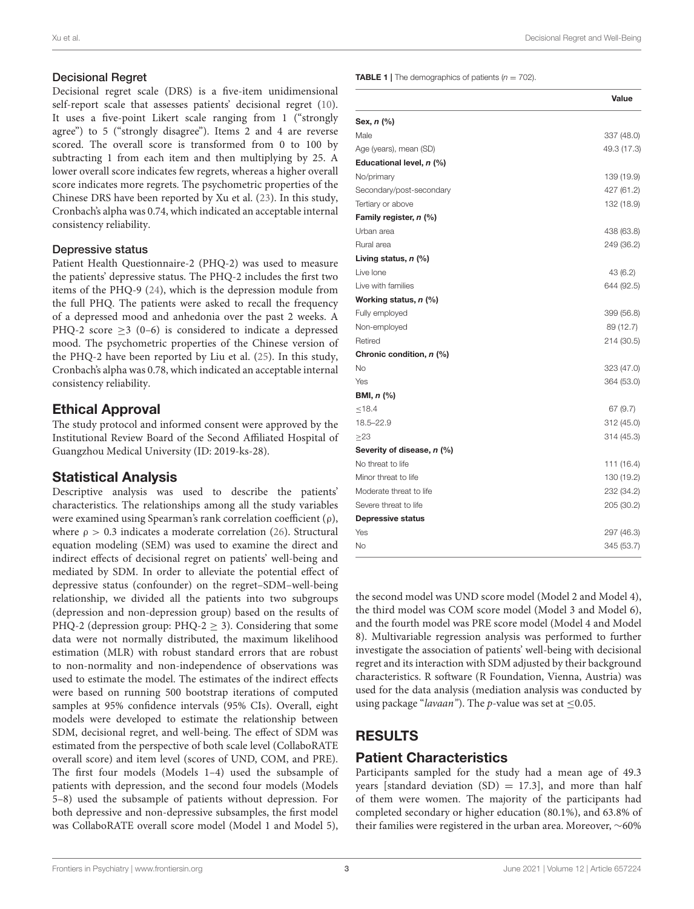#### Decisional Regret

Decisional regret scale (DRS) is a five-item unidimensional self-report scale that assesses patients' decisional regret [\(10\)](#page-7-9). It uses a five-point Likert scale ranging from 1 ("strongly agree") to 5 ("strongly disagree"). Items 2 and 4 are reverse scored. The overall score is transformed from 0 to 100 by subtracting 1 from each item and then multiplying by 25. A lower overall score indicates few regrets, whereas a higher overall score indicates more regrets. The psychometric properties of the Chinese DRS have been reported by Xu et al. [\(23\)](#page-8-8). In this study, Cronbach's alpha was 0.74, which indicated an acceptable internal consistency reliability.

#### Depressive status

Patient Health Questionnaire-2 (PHQ-2) was used to measure the patients' depressive status. The PHQ-2 includes the first two items of the PHQ-9 [\(24\)](#page-8-9), which is the depression module from the full PHQ. The patients were asked to recall the frequency of a depressed mood and anhedonia over the past 2 weeks. A PHQ-2 score  $>3$  (0–6) is considered to indicate a depressed mood. The psychometric properties of the Chinese version of the PHQ-2 have been reported by Liu et al. [\(25\)](#page-8-10). In this study, Cronbach's alpha was 0.78, which indicated an acceptable internal consistency reliability.

# Ethical Approval

The study protocol and informed consent were approved by the Institutional Review Board of the Second Affiliated Hospital of Guangzhou Medical University (ID: 2019-ks-28).

## Statistical Analysis

Descriptive analysis was used to describe the patients' characteristics. The relationships among all the study variables were examined using Spearman's rank correlation coefficient (ρ), where  $\rho > 0.3$  indicates a moderate correlation [\(26\)](#page-8-11). Structural equation modeling (SEM) was used to examine the direct and indirect effects of decisional regret on patients' well-being and mediated by SDM. In order to alleviate the potential effect of depressive status (confounder) on the regret–SDM–well-being relationship, we divided all the patients into two subgroups (depression and non-depression group) based on the results of PHQ-2 (depression group: PHQ-2  $\geq$  3). Considering that some data were not normally distributed, the maximum likelihood estimation (MLR) with robust standard errors that are robust to non-normality and non-independence of observations was used to estimate the model. The estimates of the indirect effects were based on running 500 bootstrap iterations of computed samples at 95% confidence intervals (95% CIs). Overall, eight models were developed to estimate the relationship between SDM, decisional regret, and well-being. The effect of SDM was estimated from the perspective of both scale level (CollaboRATE overall score) and item level (scores of UND, COM, and PRE). The first four models (Models 1–4) used the subsample of patients with depression, and the second four models (Models 5–8) used the subsample of patients without depression. For both depressive and non-depressive subsamples, the first model was CollaboRATE overall score model (Model 1 and Model 5), <span id="page-2-0"></span>**TABLE 1** | The demographics of patients  $(n = 702)$ .

|                                | Value       |
|--------------------------------|-------------|
| Sex, $n$ (%)                   |             |
| Male                           | 337 (48.0)  |
| Age (years), mean (SD)         | 49.3 (17.3) |
| Educational level, n (%)       |             |
| No/primary                     | 139 (19.9)  |
| Secondary/post-secondary       | 427 (61.2)  |
| Tertiary or above              | 132 (18.9)  |
| Family register, n (%)         |             |
| Urban area                     | 438 (63.8)  |
| Rural area                     | 249 (36.2)  |
| Living status, $n$ (%)         |             |
| Live lone                      | 43 (6.2)    |
| Live with families             | 644 (92.5)  |
| Working status, n (%)          |             |
| Fully employed                 | 399 (56.8)  |
| Non-employed                   | 89 (12.7)   |
| Retired                        | 214 (30.5)  |
| Chronic condition, n (%)       |             |
| <b>No</b>                      | 323 (47.0)  |
| Yes                            | 364 (53.0)  |
| <b>BMI, <math>n</math> (%)</b> |             |
| ≤18.4                          | 67 (9.7)    |
| 18.5-22.9                      | 312 (45.0)  |
| $\geq$ 23                      | 314 (45.3)  |
| Severity of disease, n (%)     |             |
| No threat to life              | 111 (16.4)  |
| Minor threat to life           | 130 (19.2)  |
| Moderate threat to life        | 232 (34.2)  |
| Severe threat to life          | 205 (30.2)  |
| <b>Depressive status</b>       |             |
| Yes                            | 297 (46.3)  |
| No                             | 345 (53.7)  |
|                                |             |

the second model was UND score model (Model 2 and Model 4), the third model was COM score model (Model 3 and Model 6), and the fourth model was PRE score model (Model 4 and Model 8). Multivariable regression analysis was performed to further investigate the association of patients' well-being with decisional regret and its interaction with SDM adjusted by their background characteristics. R software (R Foundation, Vienna, Austria) was used for the data analysis (mediation analysis was conducted by using package "lavaan"). The p-value was set at  $\leq$ 0.05.

# RESULTS

## Patient Characteristics

Participants sampled for the study had a mean age of 49.3 years [standard deviation  $(SD) = 17.3$ ], and more than half of them were women. The majority of the participants had completed secondary or higher education (80.1%), and 63.8% of their families were registered in the urban area. Moreover, ∼60%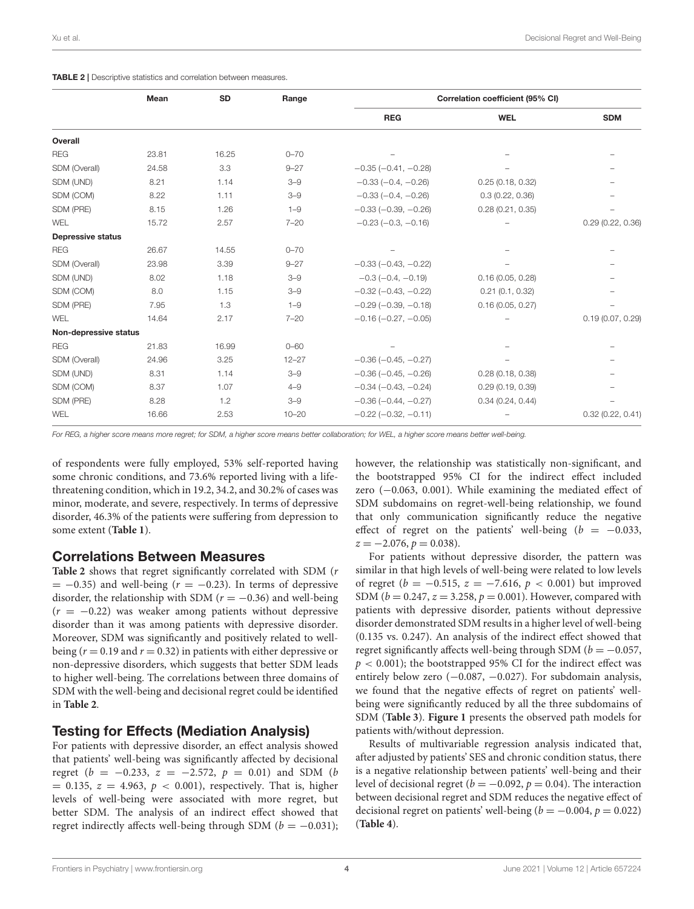<span id="page-3-0"></span>

|  | <b>TABLE 2</b>   Descriptive statistics and correlation between measures. |  |  |  |  |  |
|--|---------------------------------------------------------------------------|--|--|--|--|--|
|--|---------------------------------------------------------------------------|--|--|--|--|--|

|                          | Mean  | <b>SD</b> | Range     |                               | Correlation coefficient (95% CI) |                  |
|--------------------------|-------|-----------|-----------|-------------------------------|----------------------------------|------------------|
|                          |       |           |           | <b>REG</b>                    | <b>WEL</b>                       | <b>SDM</b>       |
| Overall                  |       |           |           |                               |                                  |                  |
| <b>REG</b>               | 23.81 | 16.25     | $0 - 70$  |                               |                                  |                  |
| SDM (Overall)            | 24.58 | 3.3       | $9 - 27$  | $-0.35$ $(-0.41, -0.28)$      |                                  |                  |
| SDM (UND)                | 8.21  | 1.14      | $3 - 9$   | $-0.33(-0.4, -0.26)$          | 0.25(0.18, 0.32)                 |                  |
| SDM (COM)                | 8.22  | 1.11      | $3 - 9$   | $-0.33(-0.4, -0.26)$          | 0.3(0.22, 0.36)                  |                  |
| SDM (PRE)                | 8.15  | 1.26      | $1 - 9$   | $-0.33(-0.39, -0.26)$         | 0.28(0.21, 0.35)                 |                  |
| WEL                      | 15.72 | 2.57      | $7 - 20$  | $-0.23(-0.3, -0.16)$          |                                  | 0.29(0.22, 0.36) |
| <b>Depressive status</b> |       |           |           |                               |                                  |                  |
| <b>REG</b>               | 26.67 | 14.55     | $0 - 70$  |                               |                                  |                  |
| SDM (Overall)            | 23.98 | 3.39      | $9 - 27$  | $-0.33(-0.43,-0.22)$          |                                  |                  |
| SDM (UND)                | 8.02  | 1.18      | $3 - 9$   | $-0.3(-0.4, -0.19)$           | 0.16(0.05, 0.28)                 |                  |
| SDM (COM)                | 8.0   | 1.15      | $3 - 9$   | $-0.32$ $(-0.43, -0.22)$      | 0.21(0.1, 0.32)                  |                  |
| SDM (PRE)                | 7.95  | 1.3       | $1 - 9$   | $-0.29$ $(-0.39, -0.18)$      | 0.16(0.05, 0.27)                 |                  |
| <b>WEL</b>               | 14.64 | 2.17      | $7 - 20$  | $-0.16$ $(-0.27, -0.05)$      |                                  | 0.19(0.07, 0.29) |
| Non-depressive status    |       |           |           |                               |                                  |                  |
| <b>REG</b>               | 21.83 | 16.99     | $0 - 60$  |                               |                                  |                  |
| SDM (Overall)            | 24.96 | 3.25      | $12 - 27$ | $-0.36$ $(-0.45, -0.27)$      |                                  |                  |
| SDM (UND)                | 8.31  | 1.14      | $3 - 9$   | $-0.36$ ( $-0.45$ , $-0.26$ ) | 0.28(0.18, 0.38)                 |                  |
| SDM (COM)                | 8.37  | 1.07      | $4 - 9$   | $-0.34(-0.43,-0.24)$          | 0.29(0.19, 0.39)                 |                  |
| SDM (PRE)                | 8.28  | 1.2       | $3 - 9$   | $-0.36(-0.44, -0.27)$         | 0.34(0.24, 0.44)                 |                  |
| WEL                      | 16.66 | 2.53      | $10 - 20$ | $-0.22$ $(-0.32, -0.11)$      |                                  | 0.32(0.22, 0.41) |

*For REG, a higher score means more regret; for SDM, a higher score means better collaboration; for WEL, a higher score means better well-being.*

of respondents were fully employed, 53% self-reported having some chronic conditions, and 73.6% reported living with a lifethreatening condition, which in 19.2, 34.2, and 30.2% of cases was minor, moderate, and severe, respectively. In terms of depressive disorder, 46.3% of the patients were suffering from depression to some extent (**[Table 1](#page-2-0)**).

#### Correlations Between Measures

**[Table 2](#page-3-0)** shows that regret significantly correlated with SDM (r  $= -0.35$ ) and well-being ( $r = -0.23$ ). In terms of depressive disorder, the relationship with SDM ( $r = -0.36$ ) and well-being  $(r = -0.22)$  was weaker among patients without depressive disorder than it was among patients with depressive disorder. Moreover, SDM was significantly and positively related to wellbeing ( $r = 0.19$  and  $r = 0.32$ ) in patients with either depressive or non-depressive disorders, which suggests that better SDM leads to higher well-being. The correlations between three domains of SDM with the well-being and decisional regret could be identified in **[Table 2](#page-3-0)**.

## Testing for Effects (Mediation Analysis)

For patients with depressive disorder, an effect analysis showed that patients' well-being was significantly affected by decisional regret ( $b = -0.233$ ,  $z = -2.572$ ,  $p = 0.01$ ) and SDM ( $b$  $= 0.135$ ,  $z = 4.963$ ,  $p < 0.001$ ), respectively. That is, higher levels of well-being were associated with more regret, but better SDM. The analysis of an indirect effect showed that regret indirectly affects well-being through SDM ( $b = -0.031$ ); however, the relationship was statistically non-significant, and the bootstrapped 95% CI for the indirect effect included zero (−0.063, 0.001). While examining the mediated effect of SDM subdomains on regret-well-being relationship, we found that only communication significantly reduce the negative effect of regret on the patients' well-being  $(b = -0.033,$  $z = -2.076, p = 0.038$ .

For patients without depressive disorder, the pattern was similar in that high levels of well-being were related to low levels of regret ( $b = -0.515$ ,  $z = -7.616$ ,  $p < 0.001$ ) but improved SDM ( $b = 0.247$ ,  $z = 3.258$ ,  $p = 0.001$ ). However, compared with patients with depressive disorder, patients without depressive disorder demonstrated SDM results in a higher level of well-being (0.135 vs. 0.247). An analysis of the indirect effect showed that regret significantly affects well-being through SDM ( $b = -0.057$ ,  $p < 0.001$ ); the bootstrapped 95% CI for the indirect effect was entirely below zero (-0.087, -0.027). For subdomain analysis, we found that the negative effects of regret on patients' wellbeing were significantly reduced by all the three subdomains of SDM (**[Table 3](#page-4-0)**). **[Figure 1](#page-6-0)** presents the observed path models for patients with/without depression.

Results of multivariable regression analysis indicated that, after adjusted by patients' SES and chronic condition status, there is a negative relationship between patients' well-being and their level of decisional regret ( $b = -0.092$ ,  $p = 0.04$ ). The interaction between decisional regret and SDM reduces the negative effect of decisional regret on patients' well-being ( $b = -0.004$ ,  $p = 0.022$ ) (**[Table 4](#page-5-0)**).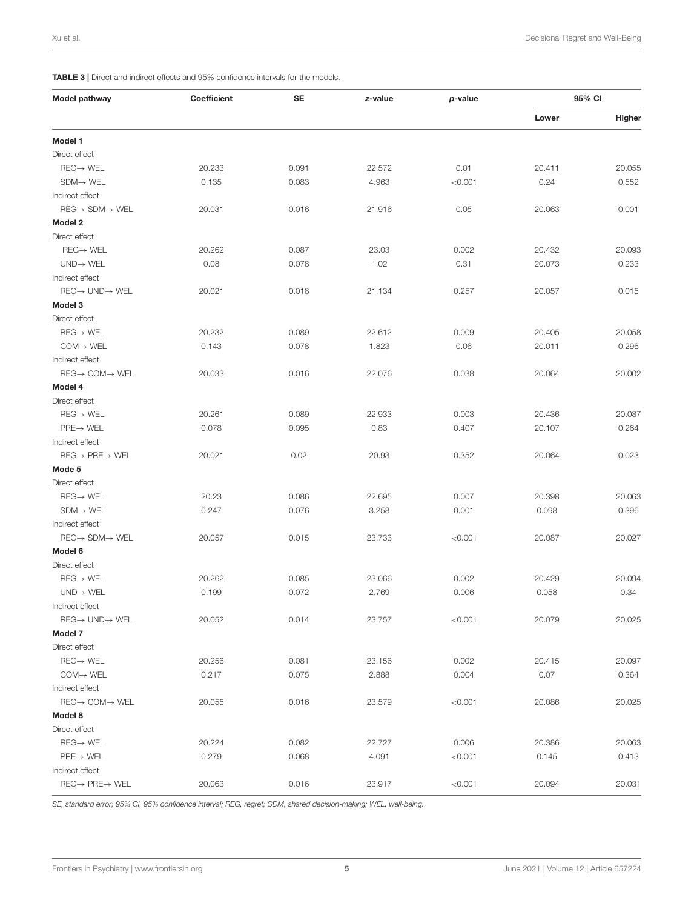<span id="page-4-0"></span>TABLE 3 | Direct and indirect effects and 95% confidence intervals for the models.

| <b>Model pathway</b>                  | Coefficient | SE    | z-value | p-value | 95% CI |        |
|---------------------------------------|-------------|-------|---------|---------|--------|--------|
|                                       |             |       |         |         | Lower  | Higher |
| Model 1                               |             |       |         |         |        |        |
| Direct effect                         |             |       |         |         |        |        |
| $REG \rightarrow WEL$                 | 20.233      | 0.091 | 22.572  | 0.01    | 20.411 | 20.055 |
| $SDM \rightarrow WEL$                 | 0.135       | 0.083 | 4.963   | < 0.001 | 0.24   | 0.552  |
| Indirect effect                       |             |       |         |         |        |        |
| $REG \rightarrow SDM \rightarrow WEL$ | 20.031      | 0.016 | 21.916  | 0.05    | 20.063 | 0.001  |
| Model 2                               |             |       |         |         |        |        |
| Direct effect                         |             |       |         |         |        |        |
| $REG \rightarrow WEL$                 | 20.262      | 0.087 | 23.03   | 0.002   | 20.432 | 20.093 |
| $UND \rightarrow WEL$                 | 0.08        | 0.078 | 1.02    | 0.31    | 20.073 | 0.233  |
| Indirect effect                       |             |       |         |         |        |        |
| $REG \rightarrow UND \rightarrow WEL$ | 20.021      | 0.018 | 21.134  | 0.257   | 20.057 | 0.015  |
| Model 3                               |             |       |         |         |        |        |
| Direct effect                         |             |       |         |         |        |        |
| $REG \rightarrow WEL$                 | 20.232      | 0.089 | 22.612  | 0.009   | 20.405 | 20.058 |
| $COM \rightarrow WEL$                 | 0.143       | 0.078 | 1.823   | 0.06    | 20.011 | 0.296  |
| Indirect effect                       |             |       |         |         |        |        |
| $REG \rightarrow COM \rightarrow WEL$ | 20.033      | 0.016 | 22.076  | 0.038   | 20.064 | 20.002 |
| Model 4                               |             |       |         |         |        |        |
| Direct effect                         |             |       |         |         |        |        |
| $REG \rightarrow WEL$                 | 20.261      | 0.089 | 22.933  | 0.003   | 20.436 | 20.087 |
| $PRE \rightarrow WEL$                 | 0.078       | 0.095 | 0.83    | 0.407   | 20.107 | 0.264  |
| Indirect effect                       |             |       |         |         |        |        |
| $REG \rightarrow PRE \rightarrow WEL$ | 20.021      | 0.02  | 20.93   | 0.352   | 20.064 | 0.023  |
| Mode 5                                |             |       |         |         |        |        |
| Direct effect                         |             |       |         |         |        |        |
| $REG \rightarrow WEL$                 | 20.23       | 0.086 | 22.695  | 0.007   | 20.398 | 20.063 |
| $SDM \rightarrow WEL$                 | 0.247       | 0.076 | 3.258   | 0.001   | 0.098  | 0.396  |
| Indirect effect                       |             |       |         |         |        |        |
| $REG \rightarrow SDM \rightarrow WEL$ | 20.057      | 0.015 | 23.733  | < 0.001 | 20.087 | 20.027 |
| Model 6                               |             |       |         |         |        |        |
| Direct effect                         |             |       |         |         |        |        |
| $REG \rightarrow WEL$                 | 20.262      | 0.085 | 23.066  | 0.002   | 20.429 | 20.094 |
| $UND \rightarrow WEL$                 | 0.199       | 0.072 | 2.769   | 0.006   | 0.058  | 0.34   |
| Indirect effect                       |             |       |         |         |        |        |
| $REG \rightarrow UND \rightarrow WEL$ | 20.052      | 0.014 | 23.757  | < 0.001 | 20.079 | 20.025 |
| Model 7                               |             |       |         |         |        |        |
| Direct effect                         |             |       |         |         |        |        |
| $REG \rightarrow WEL$                 |             |       |         |         |        |        |
|                                       | 20.256      | 0.081 | 23.156  | 0.002   | 20.415 | 20.097 |
| $COM \rightarrow WEL$                 | 0.217       | 0.075 | 2.888   | 0.004   | 0.07   | 0.364  |
| Indirect effect                       |             |       |         |         |        |        |
| $REG \rightarrow COM \rightarrow WEL$ | 20.055      | 0.016 | 23.579  | < 0.001 | 20.086 | 20.025 |
| Model 8                               |             |       |         |         |        |        |
| Direct effect                         |             |       |         |         |        |        |
| $REG \rightarrow WEL$                 | 20.224      | 0.082 | 22.727  | 0.006   | 20.386 | 20.063 |
| $PRE \rightarrow WEL$                 | 0.279       | 0.068 | 4.091   | < 0.001 | 0.145  | 0.413  |
| Indirect effect                       |             |       |         |         |        |        |
| $REG \rightarrow PRE \rightarrow WEL$ | 20.063      | 0.016 | 23.917  | < 0.001 | 20.094 | 20.031 |

*SE, standard error; 95% CI, 95% confidence interval; REG, regret; SDM, shared decision-making; WEL, well-being.*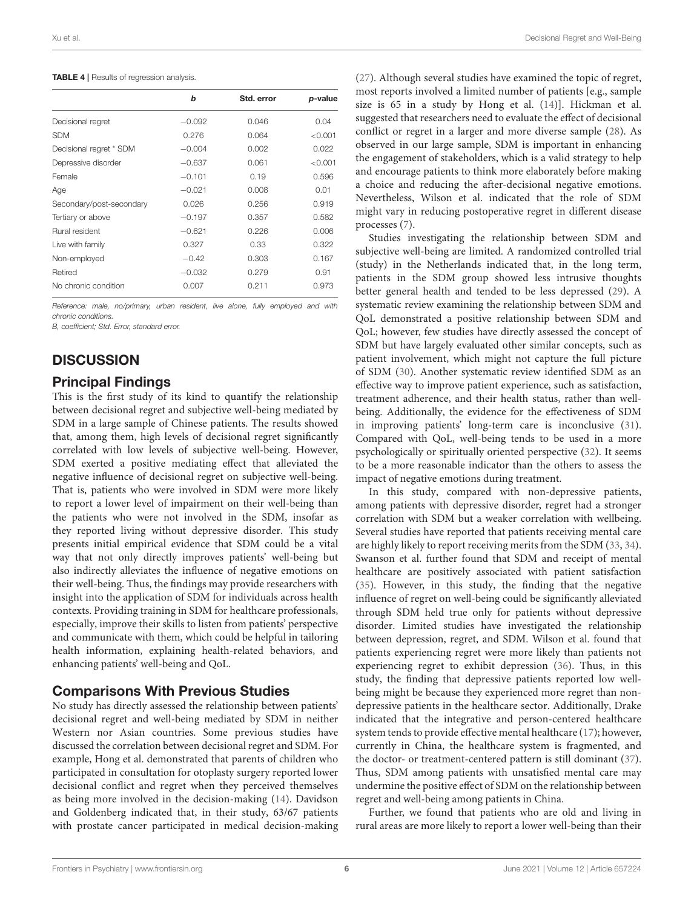#### <span id="page-5-0"></span>TABLE 4 | Results of regression analysis.

|                          | b        | Std. error | p-value |
|--------------------------|----------|------------|---------|
| Decisional regret        | $-0.092$ | 0.046      | 0.04    |
| <b>SDM</b>               | 0.276    | 0.064      | < 0.001 |
| Decisional regret * SDM  | $-0.004$ | 0.002      | 0.022   |
| Depressive disorder      | $-0.637$ | 0.061      | < 0.001 |
| Female                   | $-0.101$ | 0.19       | 0.596   |
| Age                      | $-0.021$ | 0.008      | 0.01    |
| Secondary/post-secondary | 0.026    | 0.256      | 0.919   |
| Tertiary or above        | $-0.197$ | 0.357      | 0.582   |
| Rural resident           | $-0.621$ | 0.226      | 0.006   |
| Live with family         | 0.327    | 0.33       | 0.322   |
| Non-employed             | $-0.42$  | 0.303      | 0.167   |
| Retired                  | $-0.032$ | 0.279      | 0.91    |
| No chronic condition     | 0.007    | 0.211      | 0.973   |
|                          |          |            |         |

*Reference: male, no/primary, urban resident, live alone, fully employed and with chronic conditions.*

*B, coefficient; Std. Error, standard error.*

# **DISCUSSION**

## Principal Findings

This is the first study of its kind to quantify the relationship between decisional regret and subjective well-being mediated by SDM in a large sample of Chinese patients. The results showed that, among them, high levels of decisional regret significantly correlated with low levels of subjective well-being. However, SDM exerted a positive mediating effect that alleviated the negative influence of decisional regret on subjective well-being. That is, patients who were involved in SDM were more likely to report a lower level of impairment on their well-being than the patients who were not involved in the SDM, insofar as they reported living without depressive disorder. This study presents initial empirical evidence that SDM could be a vital way that not only directly improves patients' well-being but also indirectly alleviates the influence of negative emotions on their well-being. Thus, the findings may provide researchers with insight into the application of SDM for individuals across health contexts. Providing training in SDM for healthcare professionals, especially, improve their skills to listen from patients' perspective and communicate with them, which could be helpful in tailoring health information, explaining health-related behaviors, and enhancing patients' well-being and QoL.

# Comparisons With Previous Studies

No study has directly assessed the relationship between patients' decisional regret and well-being mediated by SDM in neither Western nor Asian countries. Some previous studies have discussed the correlation between decisional regret and SDM. For example, Hong et al. demonstrated that parents of children who participated in consultation for otoplasty surgery reported lower decisional conflict and regret when they perceived themselves as being more involved in the decision-making [\(14\)](#page-7-13). Davidson and Goldenberg indicated that, in their study, 63/67 patients with prostate cancer participated in medical decision-making [\(27\)](#page-8-12). Although several studies have examined the topic of regret, most reports involved a limited number of patients [e.g., sample size is 65 in a study by Hong et al. [\(14\)](#page-7-13)]. Hickman et al. suggested that researchers need to evaluate the effect of decisional conflict or regret in a larger and more diverse sample [\(28\)](#page-8-13). As observed in our large sample, SDM is important in enhancing the engagement of stakeholders, which is a valid strategy to help and encourage patients to think more elaborately before making a choice and reducing the after-decisional negative emotions. Nevertheless, Wilson et al. indicated that the role of SDM might vary in reducing postoperative regret in different disease processes [\(7\)](#page-7-6).

Studies investigating the relationship between SDM and subjective well-being are limited. A randomized controlled trial (study) in the Netherlands indicated that, in the long term, patients in the SDM group showed less intrusive thoughts better general health and tended to be less depressed [\(29\)](#page-8-14). A systematic review examining the relationship between SDM and QoL demonstrated a positive relationship between SDM and QoL; however, few studies have directly assessed the concept of SDM but have largely evaluated other similar concepts, such as patient involvement, which might not capture the full picture of SDM [\(30\)](#page-8-15). Another systematic review identified SDM as an effective way to improve patient experience, such as satisfaction, treatment adherence, and their health status, rather than wellbeing. Additionally, the evidence for the effectiveness of SDM in improving patients' long-term care is inconclusive [\(31\)](#page-8-16). Compared with QoL, well-being tends to be used in a more psychologically or spiritually oriented perspective [\(32\)](#page-8-17). It seems to be a more reasonable indicator than the others to assess the impact of negative emotions during treatment.

In this study, compared with non-depressive patients, among patients with depressive disorder, regret had a stronger correlation with SDM but a weaker correlation with wellbeing. Several studies have reported that patients receiving mental care are highly likely to report receiving merits from the SDM [\(33,](#page-8-18) [34\)](#page-8-19). Swanson et al. further found that SDM and receipt of mental healthcare are positively associated with patient satisfaction [\(35\)](#page-8-20). However, in this study, the finding that the negative influence of regret on well-being could be significantly alleviated through SDM held true only for patients without depressive disorder. Limited studies have investigated the relationship between depression, regret, and SDM. Wilson et al. found that patients experiencing regret were more likely than patients not experiencing regret to exhibit depression [\(36\)](#page-8-21). Thus, in this study, the finding that depressive patients reported low wellbeing might be because they experienced more regret than nondepressive patients in the healthcare sector. Additionally, Drake indicated that the integrative and person-centered healthcare system tends to provide effective mental healthcare [\(17\)](#page-8-2); however, currently in China, the healthcare system is fragmented, and the doctor- or treatment-centered pattern is still dominant [\(37\)](#page-8-22). Thus, SDM among patients with unsatisfied mental care may undermine the positive effect of SDM on the relationship between regret and well-being among patients in China.

Further, we found that patients who are old and living in rural areas are more likely to report a lower well-being than their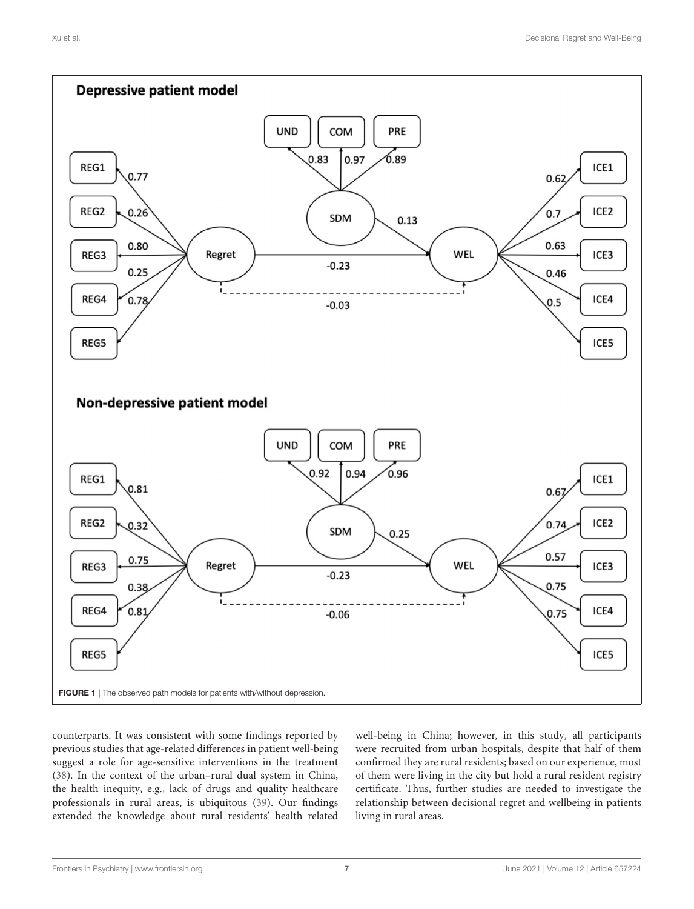

<span id="page-6-0"></span>counterparts. It was consistent with some findings reported by previous studies that age-related differences in patient well-being suggest a role for age-sensitive interventions in the treatment [\(38\)](#page-8-23). In the context of the urban–rural dual system in China, the health inequity, e.g., lack of drugs and quality healthcare professionals in rural areas, is ubiquitous [\(39\)](#page-8-24). Our findings extended the knowledge about rural residents' health related

well-being in China; however, in this study, all participants were recruited from urban hospitals, despite that half of them confirmed they are rural residents; based on our experience, most of them were living in the city but hold a rural resident registry certificate. Thus, further studies are needed to investigate the relationship between decisional regret and wellbeing in patients living in rural areas.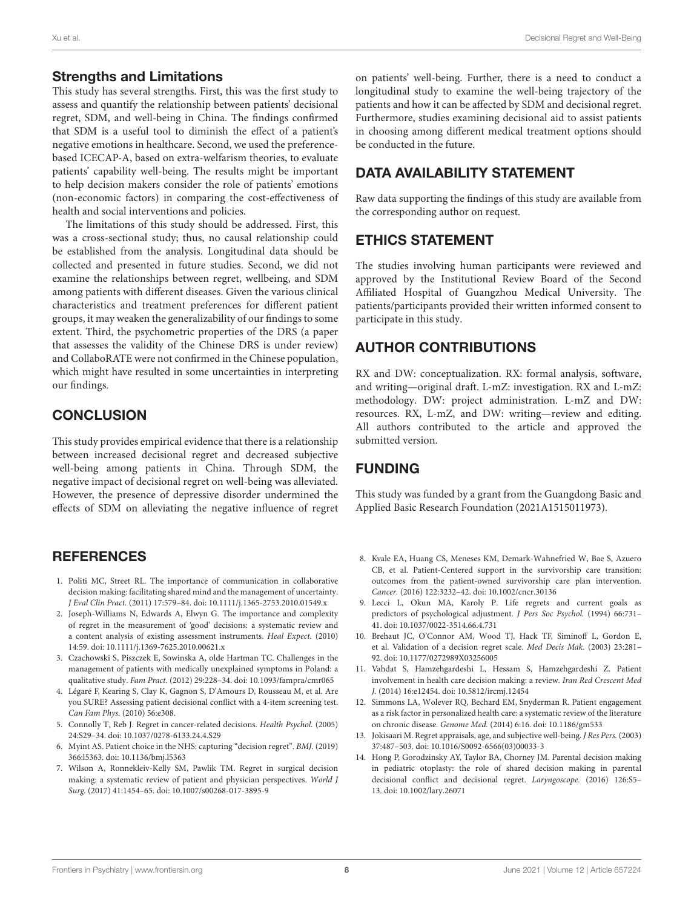### Strengths and Limitations

This study has several strengths. First, this was the first study to assess and quantify the relationship between patients' decisional regret, SDM, and well-being in China. The findings confirmed that SDM is a useful tool to diminish the effect of a patient's negative emotions in healthcare. Second, we used the preferencebased ICECAP-A, based on extra-welfarism theories, to evaluate patients' capability well-being. The results might be important to help decision makers consider the role of patients' emotions (non-economic factors) in comparing the cost-effectiveness of health and social interventions and policies.

The limitations of this study should be addressed. First, this was a cross-sectional study; thus, no causal relationship could be established from the analysis. Longitudinal data should be collected and presented in future studies. Second, we did not examine the relationships between regret, wellbeing, and SDM among patients with different diseases. Given the various clinical characteristics and treatment preferences for different patient groups, it may weaken the generalizability of our findings to some extent. Third, the psychometric properties of the DRS (a paper that assesses the validity of the Chinese DRS is under review) and CollaboRATE were not confirmed in the Chinese population, which might have resulted in some uncertainties in interpreting our findings.

# **CONCLUSION**

This study provides empirical evidence that there is a relationship between increased decisional regret and decreased subjective well-being among patients in China. Through SDM, the negative impact of decisional regret on well-being was alleviated. However, the presence of depressive disorder undermined the effects of SDM on alleviating the negative influence of regret

# **REFERENCES**

- <span id="page-7-0"></span>1. Politi MC, Street RL. The importance of communication in collaborative decision making: facilitating shared mind and the management of uncertainty. J Eval Clin Pract. (2011) 17:579–84. doi: [10.1111/j.1365-2753.2010.01549.x](https://doi.org/10.1111/j.1365-2753.2010.01549.x)
- <span id="page-7-1"></span>2. Joseph-Williams N, Edwards A, Elwyn G. The importance and complexity of regret in the measurement of 'good' decisions: a systematic review and a content analysis of existing assessment instruments. Heal Expect. (2010) 14:59. doi: [10.1111/j.1369-7625.2010.00621.x](https://doi.org/10.1111/j.1369-7625.2010.00621.x)
- <span id="page-7-2"></span>3. Czachowski S, Piszczek E, Sowinska A, olde Hartman TC. Challenges in the management of patients with medically unexplained symptoms in Poland: a qualitative study. Fam Pract. (2012) 29:228–34. doi: [10.1093/fampra/cmr065](https://doi.org/10.1093/fampra/cmr065)
- <span id="page-7-3"></span>4. Légaré F, Kearing S, Clay K, Gagnon S, D'Amours D, Rousseau M, et al. Are you SURE? Assessing patient decisional conflict with a 4-item screening test. Can Fam Phys. (2010) 56:e308.
- <span id="page-7-4"></span>5. Connolly T, Reb J. Regret in cancer-related decisions. Health Psychol. (2005) 24:S29–34. doi: [10.1037/0278-6133.24.4.S29](https://doi.org/10.1037/0278-6133.24.4.S29)
- <span id="page-7-5"></span>6. Myint AS. Patient choice in the NHS: capturing "decision regret". BMJ. (2019) 366:l5363. doi: [10.1136/bmj.l5363](https://doi.org/10.1136/bmj.l5363)
- <span id="page-7-6"></span>7. Wilson A, Ronnekleiv-Kelly SM, Pawlik TM. Regret in surgical decision making: a systematic review of patient and physician perspectives. World J Surg. (2017) 41:1454–65. doi: [10.1007/s00268-017-3895-9](https://doi.org/10.1007/s00268-017-3895-9)

on patients' well-being. Further, there is a need to conduct a longitudinal study to examine the well-being trajectory of the patients and how it can be affected by SDM and decisional regret. Furthermore, studies examining decisional aid to assist patients in choosing among different medical treatment options should be conducted in the future.

# DATA AVAILABILITY STATEMENT

Raw data supporting the findings of this study are available from the corresponding author on request.

# ETHICS STATEMENT

The studies involving human participants were reviewed and approved by the Institutional Review Board of the Second Affiliated Hospital of Guangzhou Medical University. The patients/participants provided their written informed consent to participate in this study.

# AUTHOR CONTRIBUTIONS

RX and DW: conceptualization. RX: formal analysis, software, and writing—original draft. L-mZ: investigation. RX and L-mZ: methodology. DW: project administration. L-mZ and DW: resources. RX, L-mZ, and DW: writing—review and editing. All authors contributed to the article and approved the submitted version.

# FUNDING

This study was funded by a grant from the Guangdong Basic and Applied Basic Research Foundation (2021A1515011973).

- <span id="page-7-7"></span>8. Kvale EA, Huang CS, Meneses KM, Demark-Wahnefried W, Bae S, Azuero CB, et al. Patient-Centered support in the survivorship care transition: outcomes from the patient-owned survivorship care plan intervention. Cancer. (2016) 122:3232–42. doi: [10.1002/cncr.30136](https://doi.org/10.1002/cncr.30136)
- <span id="page-7-8"></span>9. Lecci L, Okun MA, Karoly P. Life regrets and current goals as predictors of psychological adjustment. J Pers Soc Psychol. (1994) 66:731– 41. doi: [10.1037/0022-3514.66.4.731](https://doi.org/10.1037/0022-3514.66.4.731)
- <span id="page-7-9"></span>10. Brehaut JC, O'Connor AM, Wood TJ, Hack TF, Siminoff L, Gordon E, et al. Validation of a decision regret scale. Med Decis Mak. (2003) 23:281– 92. doi: [10.1177/0272989X03256005](https://doi.org/10.1177/0272989X03256005)
- <span id="page-7-10"></span>11. Vahdat S, Hamzehgardeshi L, Hessam S, Hamzehgardeshi Z. Patient involvement in health care decision making: a review. Iran Red Crescent Med J. (2014) 16:e12454. doi: [10.5812/ircmj.12454](https://doi.org/10.5812/ircmj.12454)
- <span id="page-7-11"></span>12. Simmons LA, Wolever RQ, Bechard EM, Snyderman R. Patient engagement as a risk factor in personalized health care: a systematic review of the literature on chronic disease. Genome Med. (2014) 6:16. doi: [10.1186/gm533](https://doi.org/10.1186/gm533)
- <span id="page-7-12"></span>13. Jokisaari M. Regret appraisals, age, and subjective well-being. J Res Pers. (2003) 37:487–503. doi: [10.1016/S0092-6566\(03\)00033-3](https://doi.org/10.1016/S0092-6566(03)00033-3)
- <span id="page-7-13"></span>14. Hong P, Gorodzinsky AY, Taylor BA, Chorney JM. Parental decision making in pediatric otoplasty: the role of shared decision making in parental decisional conflict and decisional regret. Laryngoscope. (2016) 126:S5– 13. doi: [10.1002/lary.26071](https://doi.org/10.1002/lary.26071)